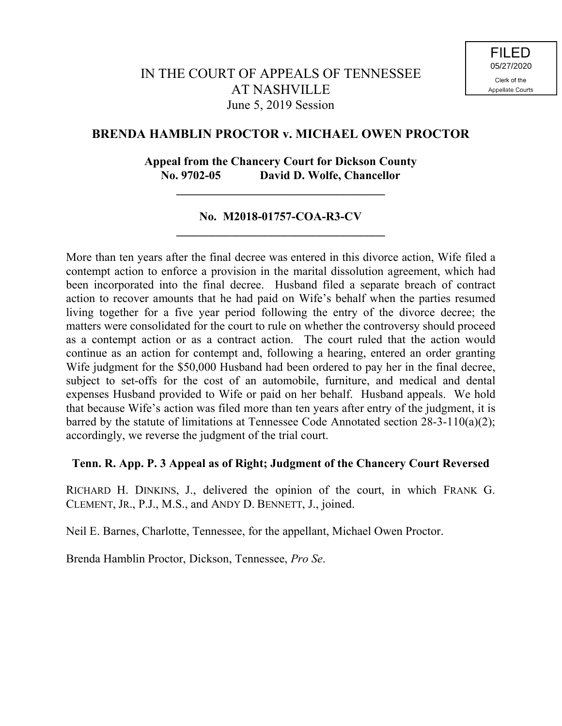# **BRENDA HAMBLIN PROCTOR v. MICHAEL OWEN PROCTOR**

# **Appeal from the Chancery Court for Dickson County No. 9702-05 David D. Wolfe, Chancellor**

**\_\_\_\_\_\_\_\_\_\_\_\_\_\_\_\_\_\_\_\_\_\_\_\_\_\_\_\_\_\_\_\_\_\_\_**

## **No. M2018-01757-COA-R3-CV \_\_\_\_\_\_\_\_\_\_\_\_\_\_\_\_\_\_\_\_\_\_\_\_\_\_\_\_\_\_\_\_\_\_\_**

More than ten years after the final decree was entered in this divorce action, Wife filed a contempt action to enforce a provision in the marital dissolution agreement, which had been incorporated into the final decree. Husband filed a separate breach of contract action to recover amounts that he had paid on Wife's behalf when the parties resumed living together for a five year period following the entry of the divorce decree; the matters were consolidated for the court to rule on whether the controversy should proceed as a contempt action or as a contract action. The court ruled that the action would continue as an action for contempt and, following a hearing, entered an order granting Wife judgment for the \$50,000 Husband had been ordered to pay her in the final decree, subject to set-offs for the cost of an automobile, furniture, and medical and dental expenses Husband provided to Wife or paid on her behalf. Husband appeals. We hold that because Wife's action was filed more than ten years after entry of the judgment, it is barred by the statute of limitations at Tennessee Code Annotated section 28-3-110(a)(2); accordingly, we reverse the judgment of the trial court.

## **Tenn. R. App. P. 3 Appeal as of Right; Judgment of the Chancery Court Reversed**

RICHARD H. DINKINS, J., delivered the opinion of the court, in which FRANK G. CLEMENT, JR., P.J., M.S., and ANDY D. BENNETT, J., joined.

Neil E. Barnes, Charlotte, Tennessee, for the appellant, Michael Owen Proctor.

Brenda Hamblin Proctor, Dickson, Tennessee, *Pro Se*.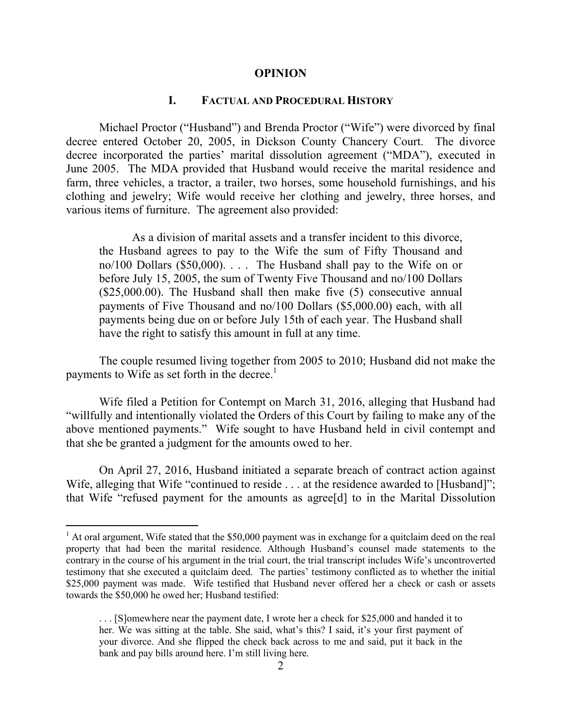#### **OPINION**

### **I. FACTUAL AND PROCEDURAL HISTORY**

Michael Proctor ("Husband") and Brenda Proctor ("Wife") were divorced by final decree entered October 20, 2005, in Dickson County Chancery Court. The divorce decree incorporated the parties' marital dissolution agreement ("MDA"), executed in June 2005. The MDA provided that Husband would receive the marital residence and farm, three vehicles, a tractor, a trailer, two horses, some household furnishings, and his clothing and jewelry; Wife would receive her clothing and jewelry, three horses, and various items of furniture. The agreement also provided:

As a division of marital assets and a transfer incident to this divorce, the Husband agrees to pay to the Wife the sum of Fifty Thousand and no/100 Dollars (\$50,000). . . . The Husband shall pay to the Wife on or before July 15, 2005, the sum of Twenty Five Thousand and no/100 Dollars (\$25,000.00). The Husband shall then make five (5) consecutive annual payments of Five Thousand and no/100 Dollars (\$5,000.00) each, with all payments being due on or before July 15th of each year. The Husband shall have the right to satisfy this amount in full at any time.

The couple resumed living together from 2005 to 2010; Husband did not make the payments to Wife as set forth in the decree.<sup>1</sup>

Wife filed a Petition for Contempt on March 31, 2016, alleging that Husband had "willfully and intentionally violated the Orders of this Court by failing to make any of the above mentioned payments." Wife sought to have Husband held in civil contempt and that she be granted a judgment for the amounts owed to her.

On April 27, 2016, Husband initiated a separate breach of contract action against Wife, alleging that Wife "continued to reside . . . at the residence awarded to [Husband]"; that Wife "refused payment for the amounts as agree[d] to in the Marital Dissolution

 $1$  At oral argument, Wife stated that the \$50,000 payment was in exchange for a quitclaim deed on the real property that had been the marital residence. Although Husband's counsel made statements to the contrary in the course of his argument in the trial court, the trial transcript includes Wife's uncontroverted testimony that she executed a quitclaim deed. The parties' testimony conflicted as to whether the initial \$25,000 payment was made. Wife testified that Husband never offered her a check or cash or assets towards the \$50,000 he owed her; Husband testified:

<sup>. . . [</sup>S]omewhere near the payment date, I wrote her a check for \$25,000 and handed it to her. We was sitting at the table. She said, what's this? I said, it's your first payment of your divorce. And she flipped the check back across to me and said, put it back in the bank and pay bills around here. I'm still living here.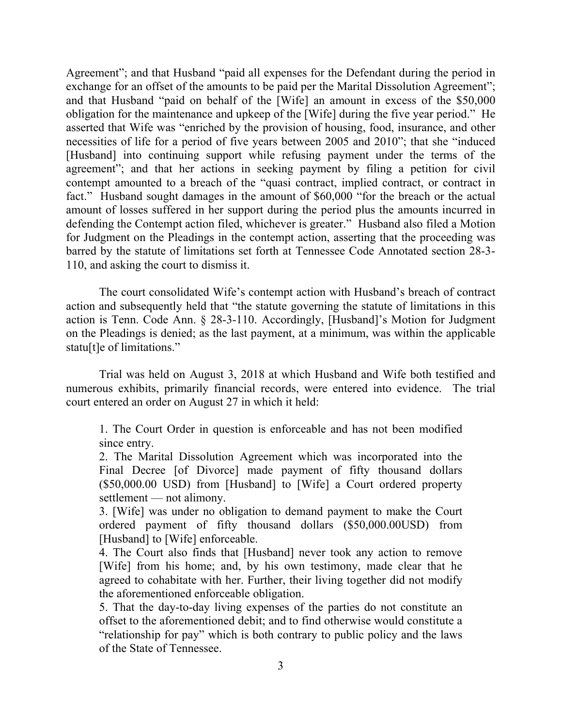Agreement"; and that Husband "paid all expenses for the Defendant during the period in exchange for an offset of the amounts to be paid per the Marital Dissolution Agreement"; and that Husband "paid on behalf of the [Wife] an amount in excess of the \$50,000 obligation for the maintenance and upkeep of the [Wife] during the five year period." He asserted that Wife was "enriched by the provision of housing, food, insurance, and other necessities of life for a period of five years between 2005 and 2010"; that she "induced [Husband] into continuing support while refusing payment under the terms of the agreement"; and that her actions in seeking payment by filing a petition for civil contempt amounted to a breach of the "quasi contract, implied contract, or contract in fact." Husband sought damages in the amount of \$60,000 "for the breach or the actual amount of losses suffered in her support during the period plus the amounts incurred in defending the Contempt action filed, whichever is greater." Husband also filed a Motion for Judgment on the Pleadings in the contempt action, asserting that the proceeding was barred by the statute of limitations set forth at Tennessee Code Annotated section 28-3- 110, and asking the court to dismiss it.

The court consolidated Wife's contempt action with Husband's breach of contract action and subsequently held that "the statute governing the statute of limitations in this action is Tenn. Code Ann. § 28-3-110. Accordingly, [Husband]'s Motion for Judgment on the Pleadings is denied; as the last payment, at a minimum, was within the applicable statu[t]e of limitations."

Trial was held on August 3, 2018 at which Husband and Wife both testified and numerous exhibits, primarily financial records, were entered into evidence. The trial court entered an order on August 27 in which it held:

1. The Court Order in question is enforceable and has not been modified since entry.

2. The Marital Dissolution Agreement which was incorporated into the Final Decree [of Divorce] made payment of fifty thousand dollars (\$50,000.00 USD) from [Husband] to [Wife] a Court ordered property settlement — not alimony.

3. [Wife] was under no obligation to demand payment to make the Court ordered payment of fifty thousand dollars (\$50,000.00USD) from [Husband] to [Wife] enforceable.

4. The Court also finds that [Husband] never took any action to remove [Wife] from his home; and, by his own testimony, made clear that he agreed to cohabitate with her. Further, their living together did not modify the aforementioned enforceable obligation.

5. That the day-to-day living expenses of the parties do not constitute an offset to the aforementioned debit; and to find otherwise would constitute a "relationship for pay" which is both contrary to public policy and the laws of the State of Tennessee.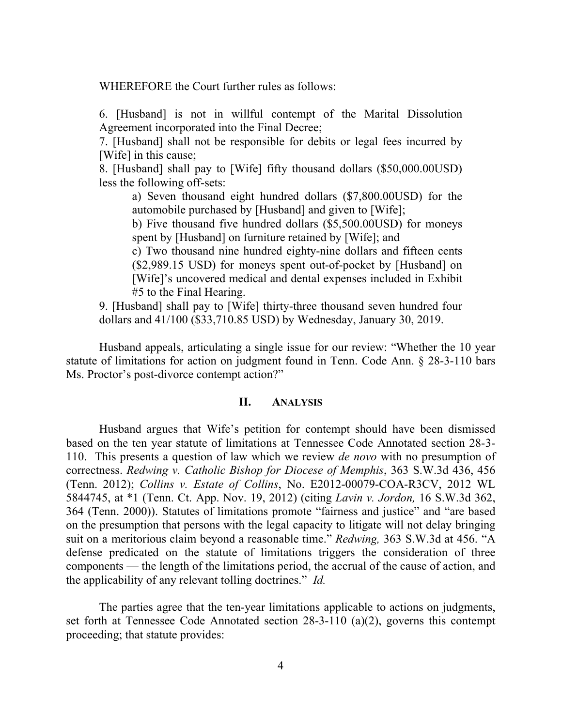WHEREFORE the Court further rules as follows:

6. [Husband] is not in willful contempt of the Marital Dissolution Agreement incorporated into the Final Decree;

7. [Husband] shall not be responsible for debits or legal fees incurred by [Wife] in this cause;

8. [Husband] shall pay to [Wife] fifty thousand dollars (\$50,000.00USD) less the following off-sets:

a) Seven thousand eight hundred dollars (\$7,800.00USD) for the automobile purchased by [Husband] and given to [Wife];

b) Five thousand five hundred dollars (\$5,500.00USD) for moneys spent by [Husband] on furniture retained by [Wife]; and

c) Two thousand nine hundred eighty-nine dollars and fifteen cents (\$2,989.15 USD) for moneys spent out-of-pocket by [Husband] on [Wife]'s uncovered medical and dental expenses included in Exhibit #5 to the Final Hearing.

9. [Husband] shall pay to [Wife] thirty-three thousand seven hundred four dollars and 41/100 (\$33,710.85 USD) by Wednesday, January 30, 2019.

Husband appeals, articulating a single issue for our review: "Whether the 10 year statute of limitations for action on judgment found in Tenn. Code Ann. § 28-3-110 bars Ms. Proctor's post-divorce contempt action?"

### **II. ANALYSIS**

Husband argues that Wife's petition for contempt should have been dismissed based on the ten year statute of limitations at Tennessee Code Annotated section 28-3- 110. This presents a question of law which we review *de novo* with no presumption of correctness. *Redwing v. Catholic Bishop for Diocese of Memphis*, 363 S.W.3d 436, 456 (Tenn. 2012); *Collins v. Estate of Collins*, No. E2012-00079-COA-R3CV, 2012 WL 5844745, at \*1 (Tenn. Ct. App. Nov. 19, 2012) (citing *Lavin v. Jordon,* 16 S.W.3d 362, 364 (Tenn. 2000)). Statutes of limitations promote "fairness and justice" and "are based on the presumption that persons with the legal capacity to litigate will not delay bringing suit on a meritorious claim beyond a reasonable time." *Redwing,* 363 S.W.3d at 456. "A defense predicated on the statute of limitations triggers the consideration of three components — the length of the limitations period, the accrual of the cause of action, and the applicability of any relevant tolling doctrines." *Id.* 

The parties agree that the ten-year limitations applicable to actions on judgments, set forth at Tennessee Code Annotated section 28-3-110 (a)(2), governs this contempt proceeding; that statute provides: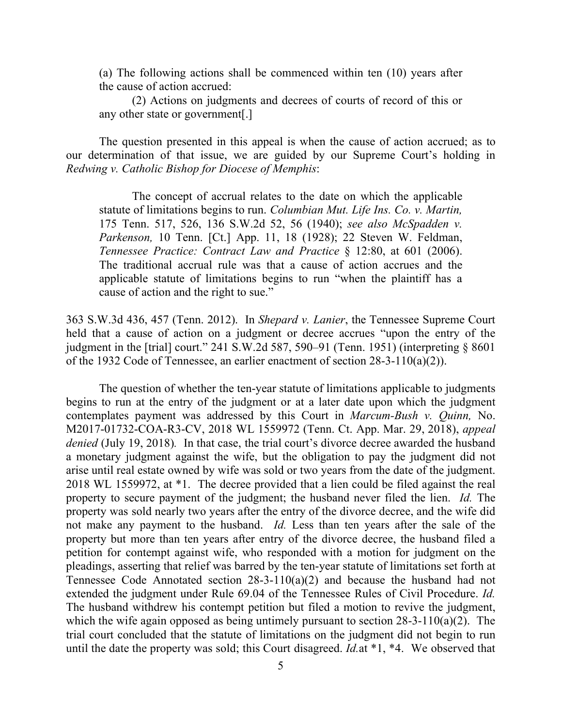(a) The following actions shall be commenced within ten (10) years after the cause of action accrued:

(2) Actions on judgments and decrees of courts of record of this or any other state or government[.]

The question presented in this appeal is when the cause of action accrued; as to our determination of that issue, we are guided by our Supreme Court's holding in *Redwing v. Catholic Bishop for Diocese of Memphis*:

The concept of accrual relates to the date on which the applicable statute of limitations begins to run. *Columbian Mut. Life Ins. Co. v. Martin,* 175 Tenn. 517, 526, 136 S.W.2d 52, 56 (1940); *see also McSpadden v. Parkenson,* 10 Tenn. [Ct.] App. 11, 18 (1928); 22 Steven W. Feldman, *Tennessee Practice: Contract Law and Practice* § 12:80, at 601 (2006). The traditional accrual rule was that a cause of action accrues and the applicable statute of limitations begins to run "when the plaintiff has a cause of action and the right to sue."

363 S.W.3d 436, 457 (Tenn. 2012). In *Shepard v. Lanier*, the Tennessee Supreme Court held that a cause of action on a judgment or decree accrues "upon the entry of the judgment in the [trial] court." 241 S.W.2d 587, 590–91 (Tenn. 1951) (interpreting § 8601 of the 1932 Code of Tennessee, an earlier enactment of section 28-3-110(a)(2)).

The question of whether the ten-year statute of limitations applicable to judgments begins to run at the entry of the judgment or at a later date upon which the judgment contemplates payment was addressed by this Court in *Marcum-Bush v. Quinn,* No. M2017-01732-COA-R3-CV, 2018 WL 1559972 (Tenn. Ct. App. Mar. 29, 2018), *appeal denied* (July 19, 2018)*.* In that case, the trial court's divorce decree awarded the husband a monetary judgment against the wife, but the obligation to pay the judgment did not arise until real estate owned by wife was sold or two years from the date of the judgment. 2018 WL 1559972, at \*1. The decree provided that a lien could be filed against the real property to secure payment of the judgment; the husband never filed the lien. *Id.* The property was sold nearly two years after the entry of the divorce decree, and the wife did not make any payment to the husband. *Id.* Less than ten years after the sale of the property but more than ten years after entry of the divorce decree, the husband filed a petition for contempt against wife, who responded with a motion for judgment on the pleadings, asserting that relief was barred by the ten-year statute of limitations set forth at Tennessee Code Annotated section 28-3-110(a)(2) and because the husband had not extended the judgment under Rule 69.04 of the Tennessee Rules of Civil Procedure. *Id.* The husband withdrew his contempt petition but filed a motion to revive the judgment, which the wife again opposed as being untimely pursuant to section  $28-3-110(a)(2)$ . The trial court concluded that the statute of limitations on the judgment did not begin to run until the date the property was sold; this Court disagreed. *Id.*at \*1, \*4. We observed that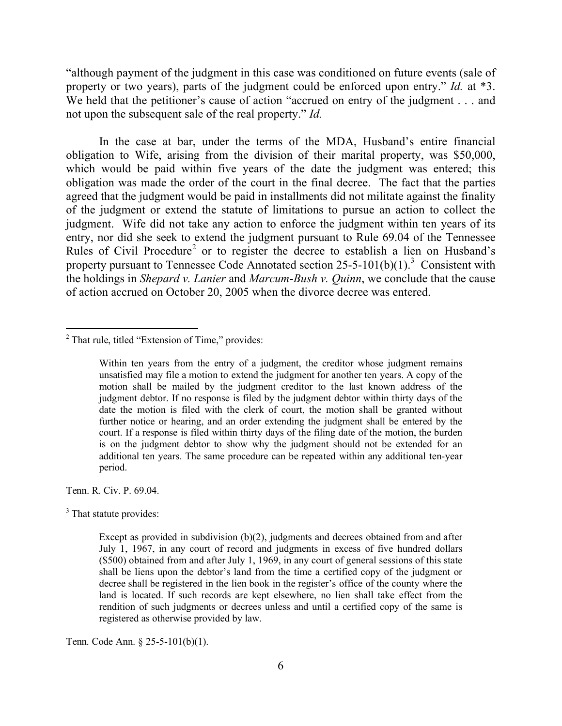"although payment of the judgment in this case was conditioned on future events (sale of property or two years), parts of the judgment could be enforced upon entry." *Id.* at \*3. We held that the petitioner's cause of action "accrued on entry of the judgment . . . and not upon the subsequent sale of the real property." *Id.*

In the case at bar, under the terms of the MDA, Husband's entire financial obligation to Wife, arising from the division of their marital property, was \$50,000, which would be paid within five years of the date the judgment was entered; this obligation was made the order of the court in the final decree. The fact that the parties agreed that the judgment would be paid in installments did not militate against the finality of the judgment or extend the statute of limitations to pursue an action to collect the judgment. Wife did not take any action to enforce the judgment within ten years of its entry, nor did she seek to extend the judgment pursuant to Rule 69.04 of the Tennessee Rules of Civil Procedure<sup>2</sup> or to register the decree to establish a lien on Husband's property pursuant to Tennessee Code Annotated section  $25-5-101(b)(1)$ .<sup>3</sup> Consistent with the holdings in *Shepard v. Lanier* and *Marcum-Bush v. Quinn*, we conclude that the cause of action accrued on October 20, 2005 when the divorce decree was entered.

Tenn. R. Civ. P. 69.04.

 $\overline{a}$ 

 $3$  That statute provides:

Tenn. Code Ann. § 25-5-101(b)(1).

 $2$  That rule, titled "Extension of Time," provides:

Within ten years from the entry of a judgment, the creditor whose judgment remains unsatisfied may file a motion to extend the judgment for another ten years. A copy of the motion shall be mailed by the judgment creditor to the last known address of the judgment debtor. If no response is filed by the judgment debtor within thirty days of the date the motion is filed with the clerk of court, the motion shall be granted without further notice or hearing, and an order extending the judgment shall be entered by the court. If a response is filed within thirty days of the filing date of the motion, the burden is on the judgment debtor to show why the judgment should not be extended for an additional ten years. The same procedure can be repeated within any additional ten-year period.

Except as provided in subdivision  $(b)(2)$ , judgments and decrees obtained from and after July 1, 1967, in any court of record and judgments in excess of five hundred dollars (\$500) obtained from and after July 1, 1969, in any court of general sessions of this state shall be liens upon the debtor's land from the time a certified copy of the judgment or decree shall be registered in the lien book in the register's office of the county where the land is located. If such records are kept elsewhere, no lien shall take effect from the rendition of such judgments or decrees unless and until a certified copy of the same is registered as otherwise provided by law.